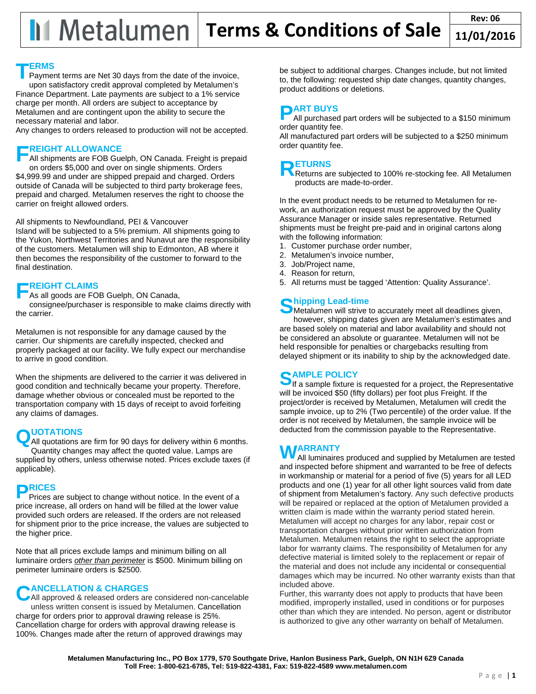### **ERMS**

Payment terms are Net 30 days from the date of the invoice, upon satisfactory credit approval completed by Metalumen's Finance Department. Late payments are subject to a 1% service charge per month. All orders are subject to acceptance by Metalumen and are contingent upon the ability to secure the necessary material and labor. **T**

Any changes to orders released to production will not be accepted.

## **REIGHT ALLOWANCE**

All shipments are FOB Guelph, ON Canada. Freight is prepaid on orders \$5,000 and over on single shipments. Orders \$4,999.99 and under are shipped prepaid and charged. Orders outside of Canada will be subjected to third party brokerage fees, prepaid and charged. Metalumen reserves the right to choose the carrier on freight allowed orders. **F**

### All shipments to Newfoundland, PEI & Vancouver

Island will be subjected to a 5% premium. All shipments going to the Yukon, Northwest Territories and Nunavut are the responsibility of the customers. Metalumen will ship to Edmonton, AB where it then becomes the responsibility of the customer to forward to the final destination.

## **REIGHT CLAIMS F**

As all goods are FOB Guelph, ON Canada,

consignee/purchaser is responsible to make claims directly with the carrier.

Metalumen is not responsible for any damage caused by the carrier. Our shipments are carefully inspected, checked and properly packaged at our facility. We fully expect our merchandise to arrive in good condition.

When the shipments are delivered to the carrier it was delivered in good condition and technically became your property. Therefore, damage whether obvious or concealed must be reported to the transportation company with 15 days of receipt to avoid forfeiting any claims of damages.

## **UOTATIONS**

**QUOTATIONS** are firm for 90 days for delivery within 6 months. Quantity changes may affect the quoted value. Lamps are supplied by others, unless otherwise noted. Prices exclude taxes (if applicable).

**P** Prices a Prices are subject to change without notice. In the event of a price increase, all orders on hand will be filled at the lower value provided such orders are released. If the orders are not released for shipment prior to the price increase, the values are subjected to the higher price.

Note that all prices exclude lamps and minimum billing on all luminaire orders *other than perimeter* is \$500. Minimum billing on perimeter luminaire orders is \$2500.

## **ANCELLATION & CHARGES**

CANCELLATION & CHARGES<br>
CAII approved & released orders are considered non-cancelable unless written consent is issued by Metalumen. Cancellation charge for orders prior to approval drawing release is 25%. Cancellation charge for orders with approval drawing release is 100%. Changes made after the return of approved drawings may

be subject to additional charges. Changes include, but not limited to, the following: requested ship date changes, quantity changes, product additions or deletions.

**P** All purchased All purchased part orders will be subjected to a \$150 minimum order quantity fee.

All manufactured part orders will be subjected to a \$250 minimum order quantity fee.

 $R_{\text{Returns,} \text{array}}$ Returns are subjected to 100% re-stocking fee. All Metalumen products are made-to-order.

In the event product needs to be returned to Metalumen for rework, an authorization request must be approved by the Quality Assurance Manager or inside sales representative. Returned shipments must be freight pre-paid and in original cartons along with the following information:

- 1. Customer purchase order number,
- 2. Metalumen's invoice number,
- 3. Job/Project name,
- 4. Reason for return,
- 5. All returns must be tagged 'Attention: Quality Assurance'.

# **hipping Lead-time S**

**Metalumen will strive to accurately meet all deadlines given,** however, shipping dates given are Metalumen's estimates and are based solely on material and labor availability and should not be considered an absolute or guarantee. Metalumen will not be held responsible for penalties or chargebacks resulting from delayed shipment or its inability to ship by the acknowledged date.

## **AMPLE POLICY**

**SAMPLE POLICY**<br>If a sample fixture is requested for a project, the Representative will be invoiced \$50 (fifty dollars) per foot plus Freight. If the project/order is received by Metalumen, Metalumen will credit the sample invoice, up to 2% (Two percentile) of the order value. If the order is not received by Metalumen, the sample invoice will be deducted from the commission payable to the Representative.

## **WARRANTY**<br> **MAII** luminaires

All luminaires produced and supplied by Metalumen are tested and inspected before shipment and warranted to be free of defects in workmanship or material for a period of five (5) years for all LED products and one (1) year for all other light sources valid from date of shipment from Metalumen's factory. Any such defective products will be repaired or replaced at the option of Metalumen provided a written claim is made within the warranty period stated herein. Metalumen will accept no charges for any labor, repair cost or transportation charges without prior written authorization from Metalumen. Metalumen retains the right to select the appropriate labor for warranty claims. The responsibility of Metalumen for any defective material is limited solely to the replacement or repair of the material and does not include any incidental or consequential damages which may be incurred. No other warranty exists than that included above.

Further, this warranty does not apply to products that have been modified, improperly installed, used in conditions or for purposes other than which they are intended. No person, agent or distributor is authorized to give any other warranty on behalf of Metalumen.